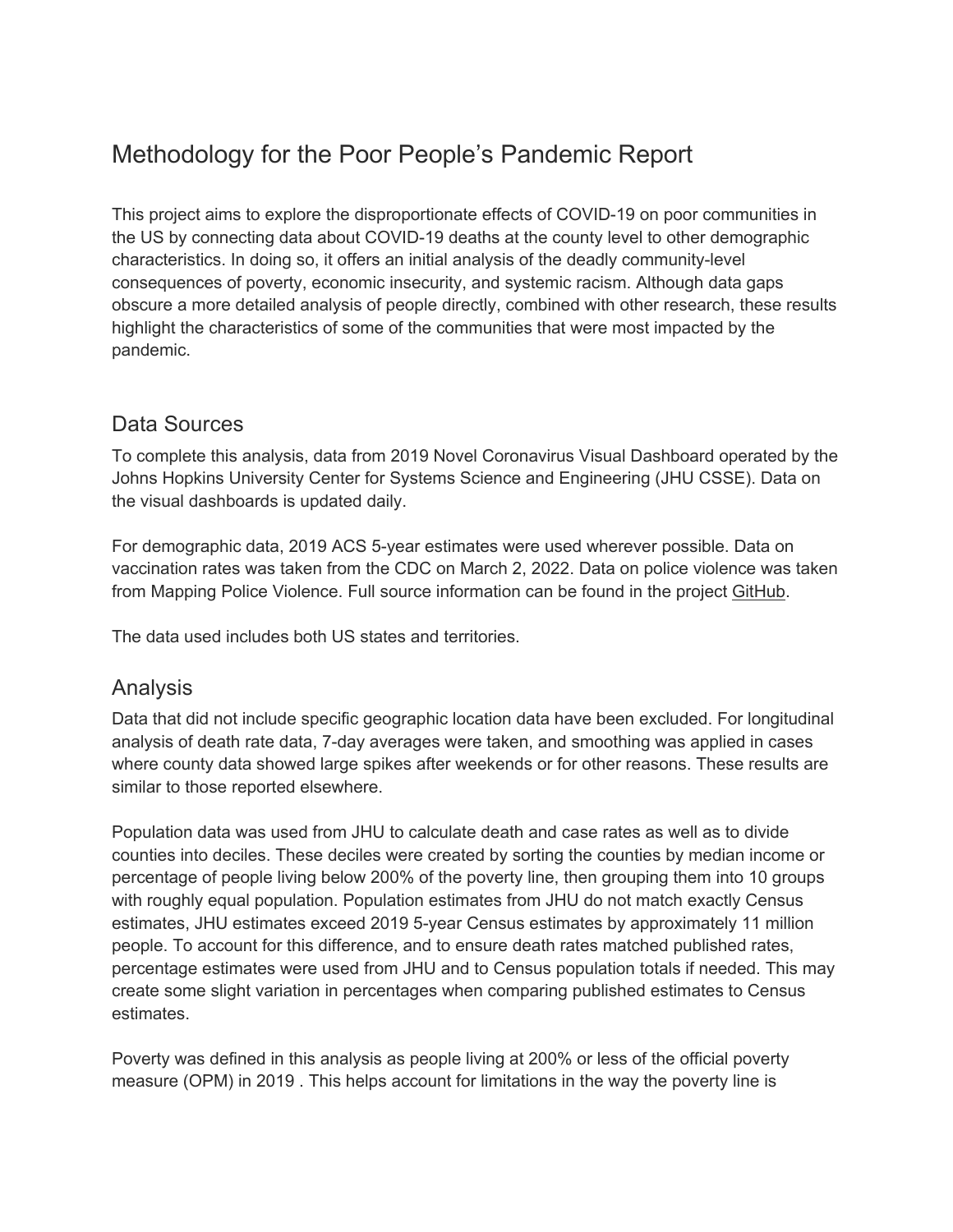# Methodology for the Poor People's Pandemic Report

This project aims to explore the disproportionate effects of COVID-19 on poor communities in the US by connecting data about COVID-19 deaths at the county level to other demographic characteristics. In doing so, it offers an initial analysis of the deadly community-level consequences of poverty, economic insecurity, and systemic racism. Although data gaps obscure a more detailed analysis of people directly, combined with other research, these results highlight the characteristics of some of the communities that were most impacted by the pandemic.

#### Data Sources

To complete this analysis, data from 2019 Novel Coronavirus Visual Dashboard operated by the Johns Hopkins University Center for Systems Science and Engineering (JHU CSSE). Data on the visual dashboards is updated daily.

For demographic data, 2019 ACS 5-year estimates were used wherever possible. Data on vaccination rates was taken from the CDC on March 2, 2022. Data on police violence was taken from Mapping Police Violence. Full source information can be found in the project GitHub.

The data used includes both US states and territories.

## Analysis

Data that did not include specific geographic location data have been excluded. For longitudinal analysis of death rate data, 7-day averages were taken, and smoothing was applied in cases where county data showed large spikes after weekends or for other reasons. These results are similar to those reported elsewhere.

Population data was used from JHU to calculate death and case rates as well as to divide counties into deciles. These deciles were created by sorting the counties by median income or percentage of people living below 200% of the poverty line, then grouping them into 10 groups with roughly equal population. Population estimates from JHU do not match exactly Census estimates, JHU estimates exceed 2019 5-year Census estimates by approximately 11 million people. To account for this difference, and to ensure death rates matched published rates, percentage estimates were used from JHU and to Census population totals if needed. This may create some slight variation in percentages when comparing published estimates to Census estimates.

Poverty was defined in this analysis as people living at 200% or less of the official poverty measure (OPM) in 2019 . This helps account for limitations in the way the poverty line is